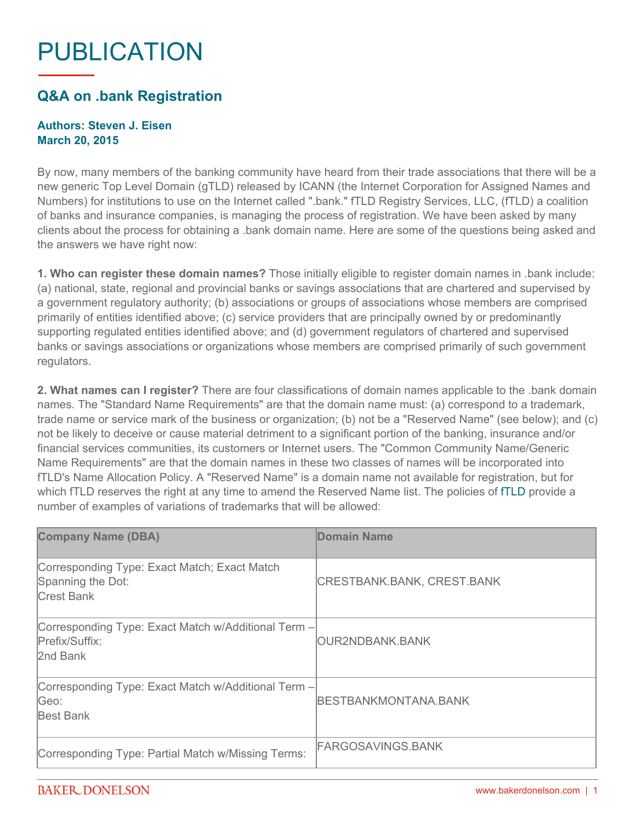## PUBLICATION

## **Q&A on .bank Registration**

## **Authors: Steven J. Eisen March 20, 2015**

By now, many members of the banking community have heard from their trade associations that there will be a new generic Top Level Domain (gTLD) released by ICANN (the Internet Corporation for Assigned Names and Numbers) for institutions to use on the Internet called ".bank." fTLD Registry Services, LLC, (fTLD) a coalition of banks and insurance companies, is managing the process of registration. We have been asked by many clients about the process for obtaining a .bank domain name. Here are some of the questions being asked and the answers we have right now:

**1. Who can register these domain names?** Those initially eligible to register domain names in .bank include: (a) national, state, regional and provincial banks or savings associations that are chartered and supervised by a government regulatory authority; (b) associations or groups of associations whose members are comprised primarily of entities identified above; (c) service providers that are principally owned by or predominantly supporting regulated entities identified above; and (d) government regulators of chartered and supervised banks or savings associations or organizations whose members are comprised primarily of such government regulators.

**2. What names can I register?** There are four classifications of domain names applicable to the .bank domain names. The "Standard Name Requirements" are that the domain name must: (a) correspond to a trademark, trade name or service mark of the business or organization; (b) not be a "Reserved Name" (see below); and (c) not be likely to deceive or cause material detriment to a significant portion of the banking, insurance and/or financial services communities, its customers or Internet users. The "Common Community Name/Generic Name Requirements" are that the domain names in these two classes of names will be incorporated into fTLD's Name Allocation Policy. A "Reserved Name" is a domain name not available for registration, but for which [fTLD](https://www.ftld.com/) reserves the right at any time to amend the Reserved Name list. The policies of fTLD provide a number of examples of variations of trademarks that will be allowed:

| <b>Company Name (DBA)</b>                                                              | Domain Name                 |
|----------------------------------------------------------------------------------------|-----------------------------|
| Corresponding Type: Exact Match; Exact Match<br>Spanning the Dot:<br><b>Crest Bank</b> | CRESTBANK.BANK, CREST.BANK  |
| Corresponding Type: Exact Match w/Additional Term -<br>Prefix/Suffix:<br>2nd Bank      | IOUR2NDBANK.BANK            |
| Corresponding Type: Exact Match w/Additional Term -<br>Geo:<br><b>Best Bank</b>        | <b>BESTBANKMONTANA.BANK</b> |
| Corresponding Type: Partial Match w/Missing Terms:                                     | <b>FARGOSAVINGS.BANK</b>    |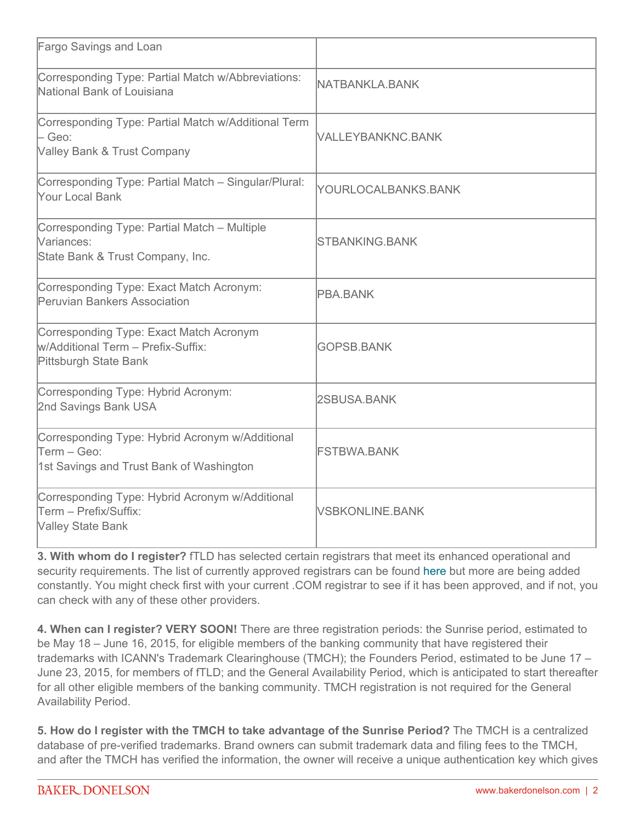| Fargo Savings and Loan                                                                                     |                        |
|------------------------------------------------------------------------------------------------------------|------------------------|
| Corresponding Type: Partial Match w/Abbreviations:<br>National Bank of Louisiana                           | <b>NATBANKLA.BANK</b>  |
| Corresponding Type: Partial Match w/Additional Term<br>- Geo:<br>Valley Bank & Trust Company               | VALLEYBANKNC.BANK      |
| Corresponding Type: Partial Match - Singular/Plural:<br>Your Local Bank                                    | YOURLOCALBANKS.BANK    |
| Corresponding Type: Partial Match - Multiple<br>Variances:<br>State Bank & Trust Company, Inc.             | <b>STBANKING.BANK</b>  |
| Corresponding Type: Exact Match Acronym:<br>Peruvian Bankers Association                                   | <b>PBA.BANK</b>        |
| Corresponding Type: Exact Match Acronym<br>W/Additional Term - Prefix-Suffix:<br>Pittsburgh State Bank     | <b>GOPSB.BANK</b>      |
| Corresponding Type: Hybrid Acronym:<br>2nd Savings Bank USA                                                | 2SBUSA.BANK            |
| Corresponding Type: Hybrid Acronym w/Additional<br>Term – Geo:<br>1st Savings and Trust Bank of Washington | <b>FSTBWA.BANK</b>     |
| Corresponding Type: Hybrid Acronym w/Additional<br>Term – Prefix/Suffix:<br><b>Valley State Bank</b>       | <b>VSBKONLINE.BANK</b> |

**3. With whom do I register?** fTLD has selected certain registrars that meet its enhanced operational and security requirements. The list of currently approved registrars can be found [here](https://www.ftld.com/approved-registrars/) but more are being added constantly. You might check first with your current .COM registrar to see if it has been approved, and if not, you can check with any of these other providers.

**4. When can I register? VERY SOON!** There are three registration periods: the Sunrise period, estimated to be May 18 – June 16, 2015, for eligible members of the banking community that have registered their trademarks with ICANN's Trademark Clearinghouse (TMCH); the Founders Period, estimated to be June 17 – June 23, 2015, for members of fTLD; and the General Availability Period, which is anticipated to start thereafter for all other eligible members of the banking community. TMCH registration is not required for the General Availability Period.

**5. How do I register with the TMCH to take advantage of the Sunrise Period?** The TMCH is a centralized database of pre-verified trademarks. Brand owners can submit trademark data and filing fees to the TMCH, and after the TMCH has verified the information, the owner will receive a unique authentication key which gives